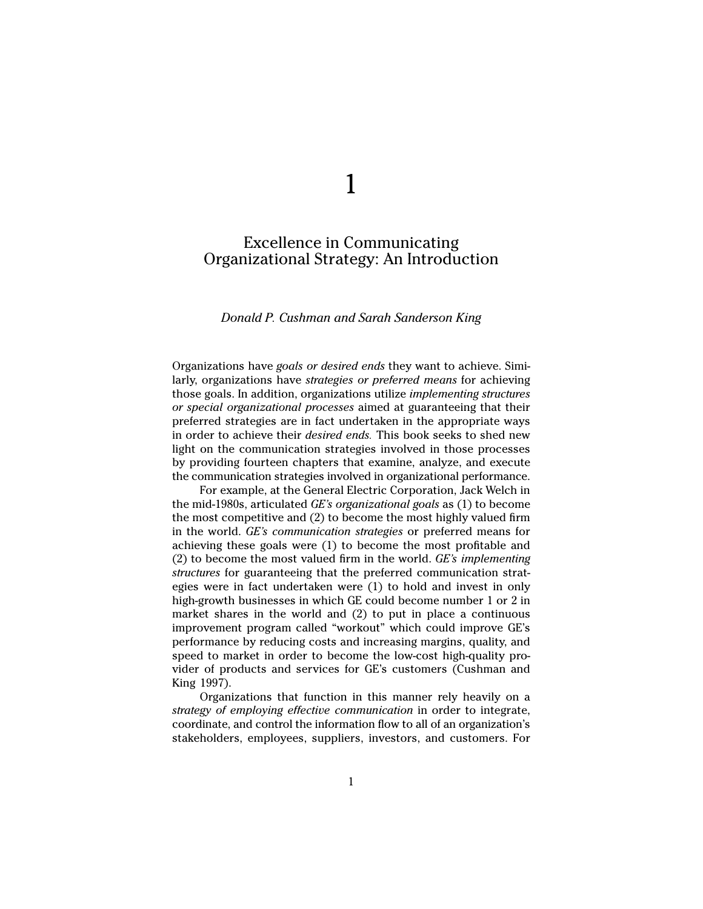## Excellence in Communicating Organizational Strategy: An Introduction

## *Donald P. Cushman and Sarah Sanderson King*

Organizations have *goals or desired ends* they want to achieve. Similarly, organizations have *strategies or preferred means* for achieving those goals. In addition, organizations utilize *implementing structures or special organizational processes* aimed at guaranteeing that their preferred strategies are in fact undertaken in the appropriate ways in order to achieve their *desired ends.* This book seeks to shed new light on the communication strategies involved in those processes by providing fourteen chapters that examine, analyze, and execute the communication strategies involved in organizational performance.

For example, at the General Electric Corporation, Jack Welch in the mid-1980s, articulated *GE's organizational goals* as (1) to become the most competitive and (2) to become the most highly valued firm in the world. *GE's communication strategies* or preferred means for achieving these goals were (1) to become the most profitable and (2) to become the most valued firm in the world. *GE's implementing structures* for guaranteeing that the preferred communication strategies were in fact undertaken were (1) to hold and invest in only high-growth businesses in which GE could become number 1 or 2 in market shares in the world and (2) to put in place a continuous improvement program called "workout" which could improve GE's performance by reducing costs and increasing margins, quality, and speed to market in order to become the low-cost high-quality provider of products and services for GE's customers (Cushman and King 1997).

Organizations that function in this manner rely heavily on a *strategy of employing effective communication* in order to integrate, coordinate, and control the information flow to all of an organization's stakeholders, employees, suppliers, investors, and customers. For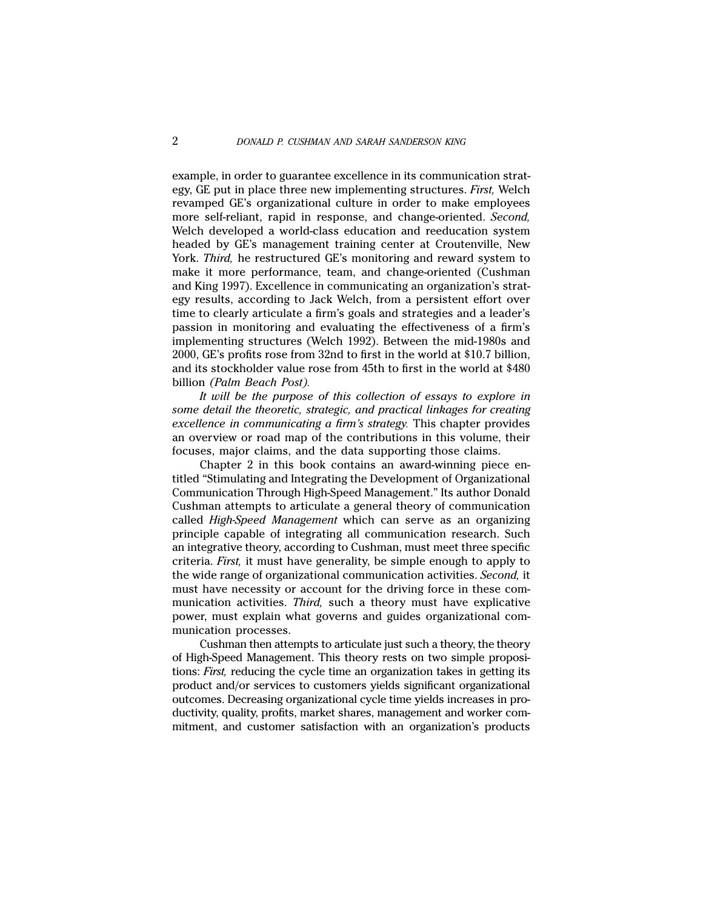example, in order to guarantee excellence in its communication strategy, GE put in place three new implementing structures. *First,* Welch revamped GE's organizational culture in order to make employees more self-reliant, rapid in response, and change-oriented. *Second,* Welch developed a world-class education and reeducation system headed by GE's management training center at Croutenville, New York. *Third,* he restructured GE's monitoring and reward system to make it more performance, team, and change-oriented (Cushman and King 1997). Excellence in communicating an organization's strategy results, according to Jack Welch, from a persistent effort over time to clearly articulate a firm's goals and strategies and a leader's passion in monitoring and evaluating the effectiveness of a firm's implementing structures (Welch 1992). Between the mid-1980s and 2000, GE's profits rose from 32nd to first in the world at \$10.7 billion, and its stockholder value rose from 45th to first in the world at \$480 billion *(Palm Beach Post).*

*It will be the purpose of this collection of essays to explore in some detail the theoretic, strategic, and practical linkages for creating excellence in communicating a firm's strategy.* This chapter provides an overview or road map of the contributions in this volume, their focuses, major claims, and the data supporting those claims.

Chapter 2 in this book contains an award-winning piece entitled "Stimulating and Integrating the Development of Organizational Communication Through High-Speed Management." Its author Donald Cushman attempts to articulate a general theory of communication called *High-Speed Management* which can serve as an organizing principle capable of integrating all communication research. Such an integrative theory, according to Cushman, must meet three specific criteria. *First,* it must have generality, be simple enough to apply to the wide range of organizational communication activities. *Second,* it must have necessity or account for the driving force in these communication activities. *Third,* such a theory must have explicative power, must explain what governs and guides organizational communication processes.

Cushman then attempts to articulate just such a theory, the theory of High-Speed Management. This theory rests on two simple propositions: *First,* reducing the cycle time an organization takes in getting its product and/or services to customers yields significant organizational outcomes. Decreasing organizational cycle time yields increases in productivity, quality, profits, market shares, management and worker commitment, and customer satisfaction with an organization's products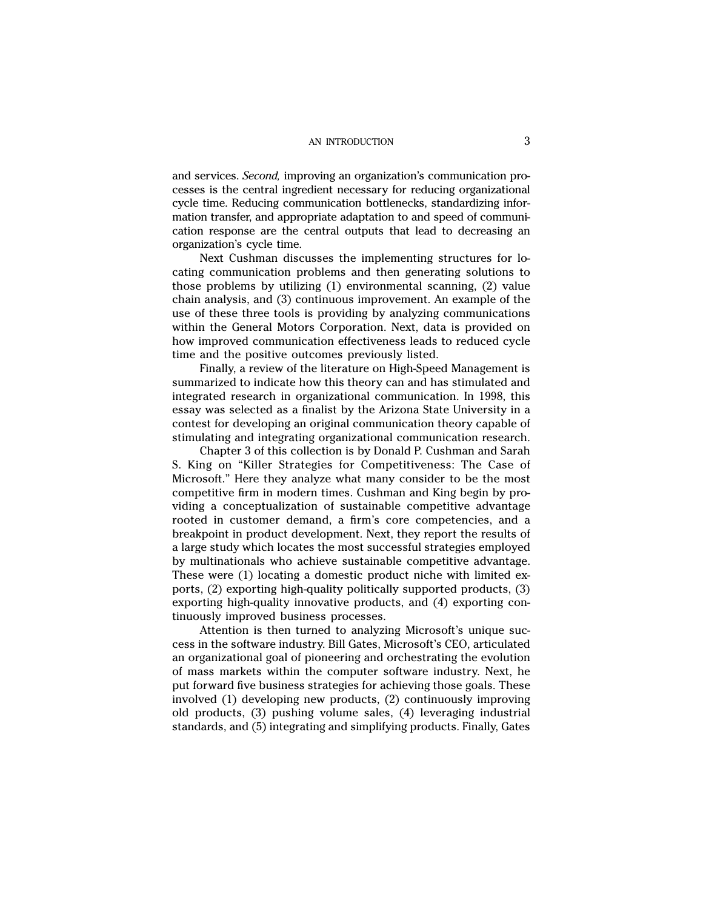and services. *Second,* improving an organization's communication processes is the central ingredient necessary for reducing organizational cycle time. Reducing communication bottlenecks, standardizing information transfer, and appropriate adaptation to and speed of communication response are the central outputs that lead to decreasing an organization's cycle time.

Next Cushman discusses the implementing structures for locating communication problems and then generating solutions to those problems by utilizing (1) environmental scanning, (2) value chain analysis, and (3) continuous improvement. An example of the use of these three tools is providing by analyzing communications within the General Motors Corporation. Next, data is provided on how improved communication effectiveness leads to reduced cycle time and the positive outcomes previously listed.

Finally, a review of the literature on High-Speed Management is summarized to indicate how this theory can and has stimulated and integrated research in organizational communication. In 1998, this essay was selected as a finalist by the Arizona State University in a contest for developing an original communication theory capable of stimulating and integrating organizational communication research.

Chapter 3 of this collection is by Donald P. Cushman and Sarah S. King on "Killer Strategies for Competitiveness: The Case of Microsoft." Here they analyze what many consider to be the most competitive firm in modern times. Cushman and King begin by providing a conceptualization of sustainable competitive advantage rooted in customer demand, a firm's core competencies, and a breakpoint in product development. Next, they report the results of a large study which locates the most successful strategies employed by multinationals who achieve sustainable competitive advantage. These were (1) locating a domestic product niche with limited exports, (2) exporting high-quality politically supported products, (3) exporting high-quality innovative products, and (4) exporting continuously improved business processes.

Attention is then turned to analyzing Microsoft's unique success in the software industry. Bill Gates, Microsoft's CEO, articulated an organizational goal of pioneering and orchestrating the evolution of mass markets within the computer software industry. Next, he put forward five business strategies for achieving those goals. These involved (1) developing new products, (2) continuously improving old products, (3) pushing volume sales, (4) leveraging industrial standards, and (5) integrating and simplifying products. Finally, Gates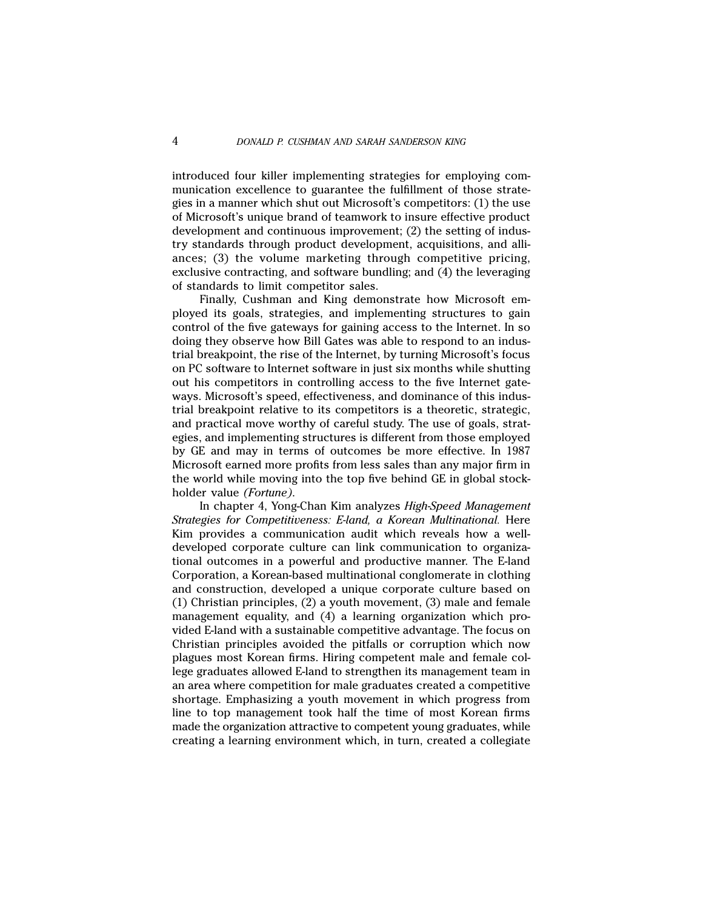introduced four killer implementing strategies for employing communication excellence to guarantee the fulfillment of those strategies in a manner which shut out Microsoft's competitors: (1) the use of Microsoft's unique brand of teamwork to insure effective product development and continuous improvement; (2) the setting of industry standards through product development, acquisitions, and alliances; (3) the volume marketing through competitive pricing, exclusive contracting, and software bundling; and (4) the leveraging of standards to limit competitor sales.

Finally, Cushman and King demonstrate how Microsoft employed its goals, strategies, and implementing structures to gain control of the five gateways for gaining access to the Internet. In so doing they observe how Bill Gates was able to respond to an industrial breakpoint, the rise of the Internet, by turning Microsoft's focus on PC software to Internet software in just six months while shutting out his competitors in controlling access to the five Internet gateways. Microsoft's speed, effectiveness, and dominance of this industrial breakpoint relative to its competitors is a theoretic, strategic, and practical move worthy of careful study. The use of goals, strategies, and implementing structures is different from those employed by GE and may in terms of outcomes be more effective. In 1987 Microsoft earned more profits from less sales than any major firm in the world while moving into the top five behind GE in global stockholder value *(Fortune)*.

In chapter 4, Yong-Chan Kim analyzes *High-Speed Management Strategies for Competitiveness: E-land, a Korean Multinational.* Here Kim provides a communication audit which reveals how a welldeveloped corporate culture can link communication to organizational outcomes in a powerful and productive manner. The E-land Corporation, a Korean-based multinational conglomerate in clothing and construction, developed a unique corporate culture based on (1) Christian principles, (2) a youth movement, (3) male and female management equality, and (4) a learning organization which provided E-land with a sustainable competitive advantage. The focus on Christian principles avoided the pitfalls or corruption which now plagues most Korean firms. Hiring competent male and female college graduates allowed E-land to strengthen its management team in an area where competition for male graduates created a competitive shortage. Emphasizing a youth movement in which progress from line to top management took half the time of most Korean firms made the organization attractive to competent young graduates, while creating a learning environment which, in turn, created a collegiate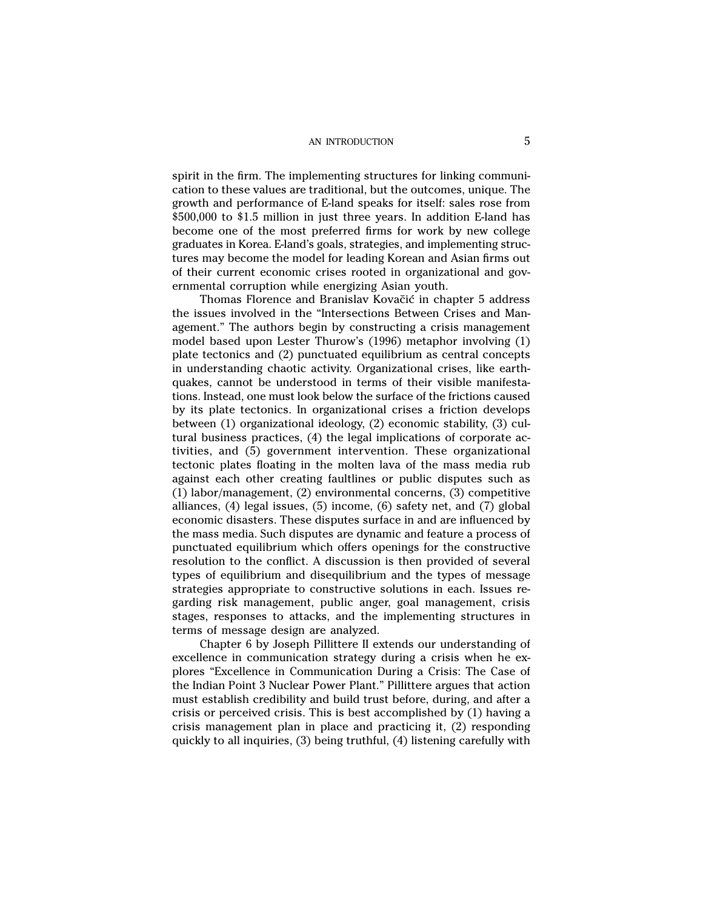spirit in the firm. The implementing structures for linking communication to these values are traditional, but the outcomes, unique. The growth and performance of E-land speaks for itself: sales rose from \$500,000 to \$1.5 million in just three years. In addition E-land has become one of the most preferred firms for work by new college graduates in Korea. E-land's goals, strategies, and implementing structures may become the model for leading Korean and Asian firms out of their current economic crises rooted in organizational and governmental corruption while energizing Asian youth.

Thomas Florence and Branislav Kovačić in chapter 5 address the issues involved in the "Intersections Between Crises and Management." The authors begin by constructing a crisis management model based upon Lester Thurow's (1996) metaphor involving (1) plate tectonics and (2) punctuated equilibrium as central concepts in understanding chaotic activity. Organizational crises, like earthquakes, cannot be understood in terms of their visible manifestations. Instead, one must look below the surface of the frictions caused by its plate tectonics. In organizational crises a friction develops between (1) organizational ideology, (2) economic stability, (3) cultural business practices, (4) the legal implications of corporate activities, and (5) government intervention. These organizational tectonic plates floating in the molten lava of the mass media rub against each other creating faultlines or public disputes such as (1) labor/management, (2) environmental concerns, (3) competitive alliances, (4) legal issues, (5) income, (6) safety net, and (7) global economic disasters. These disputes surface in and are influenced by the mass media. Such disputes are dynamic and feature a process of punctuated equilibrium which offers openings for the constructive resolution to the conflict. A discussion is then provided of several types of equilibrium and disequilibrium and the types of message strategies appropriate to constructive solutions in each. Issues regarding risk management, public anger, goal management, crisis stages, responses to attacks, and the implementing structures in terms of message design are analyzed.

Chapter 6 by Joseph Pillittere II extends our understanding of excellence in communication strategy during a crisis when he explores "Excellence in Communication During a Crisis: The Case of the Indian Point 3 Nuclear Power Plant." Pillittere argues that action must establish credibility and build trust before, during, and after a crisis or perceived crisis. This is best accomplished by (1) having a crisis management plan in place and practicing it, (2) responding quickly to all inquiries, (3) being truthful, (4) listening carefully with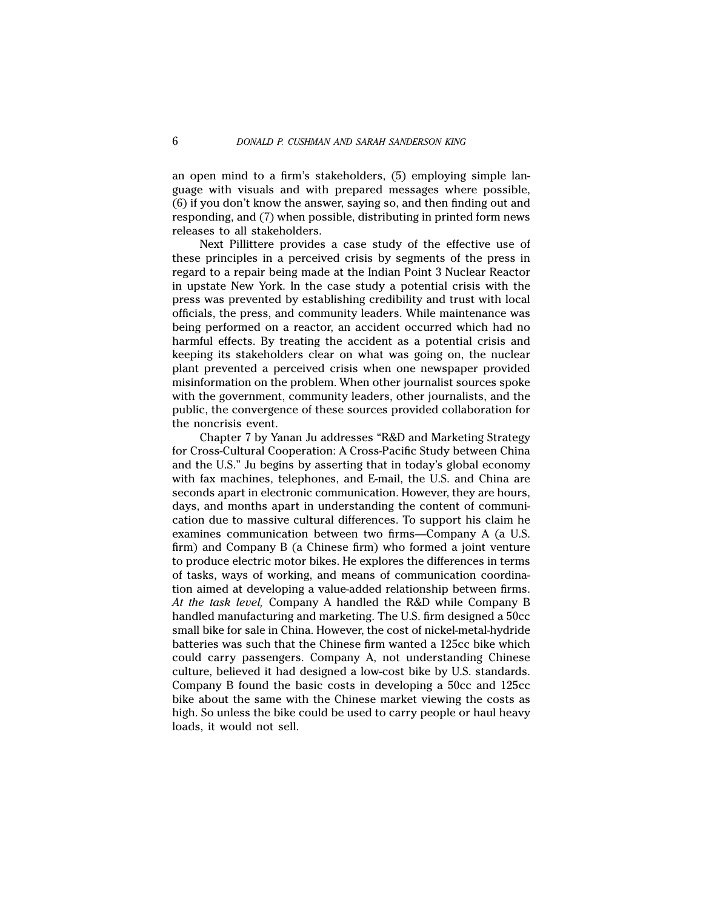an open mind to a firm's stakeholders, (5) employing simple language with visuals and with prepared messages where possible, (6) if you don't know the answer, saying so, and then finding out and responding, and (7) when possible, distributing in printed form news releases to all stakeholders.

Next Pillittere provides a case study of the effective use of these principles in a perceived crisis by segments of the press in regard to a repair being made at the Indian Point 3 Nuclear Reactor in upstate New York. In the case study a potential crisis with the press was prevented by establishing credibility and trust with local officials, the press, and community leaders. While maintenance was being performed on a reactor, an accident occurred which had no harmful effects. By treating the accident as a potential crisis and keeping its stakeholders clear on what was going on, the nuclear plant prevented a perceived crisis when one newspaper provided misinformation on the problem. When other journalist sources spoke with the government, community leaders, other journalists, and the public, the convergence of these sources provided collaboration for the noncrisis event.

Chapter 7 by Yanan Ju addresses "R&D and Marketing Strategy for Cross-Cultural Cooperation: A Cross-Pacific Study between China and the U.S." Ju begins by asserting that in today's global economy with fax machines, telephones, and E-mail, the U.S. and China are seconds apart in electronic communication. However, they are hours, days, and months apart in understanding the content of communication due to massive cultural differences. To support his claim he examines communication between two firms—Company A (a U.S. firm) and Company B (a Chinese firm) who formed a joint venture to produce electric motor bikes. He explores the differences in terms of tasks, ways of working, and means of communication coordination aimed at developing a value-added relationship between firms. *At the task level,* Company A handled the R&D while Company B handled manufacturing and marketing. The U.S. firm designed a 50cc small bike for sale in China. However, the cost of nickel-metal-hydride batteries was such that the Chinese firm wanted a 125cc bike which could carry passengers. Company A, not understanding Chinese culture, believed it had designed a low-cost bike by U.S. standards. Company B found the basic costs in developing a 50cc and 125cc bike about the same with the Chinese market viewing the costs as high. So unless the bike could be used to carry people or haul heavy loads, it would not sell.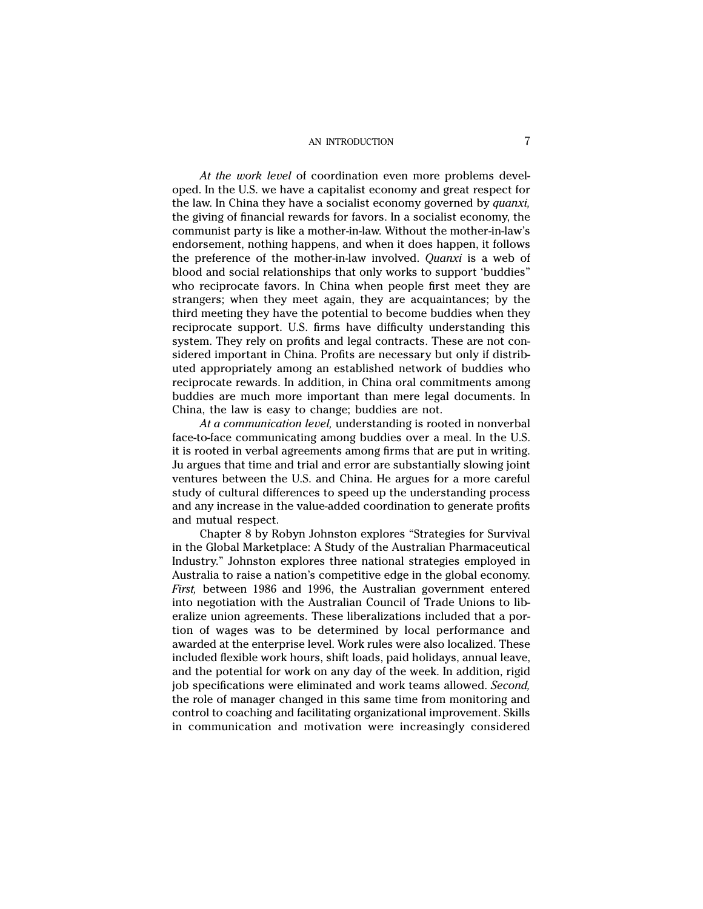*At the work level* of coordination even more problems developed. In the U.S. we have a capitalist economy and great respect for the law. In China they have a socialist economy governed by *quanxi,* the giving of financial rewards for favors. In a socialist economy, the communist party is like a mother-in-law. Without the mother-in-law's endorsement, nothing happens, and when it does happen, it follows the preference of the mother-in-law involved. *Quanxi* is a web of blood and social relationships that only works to support 'buddies" who reciprocate favors. In China when people first meet they are strangers; when they meet again, they are acquaintances; by the third meeting they have the potential to become buddies when they reciprocate support. U.S. firms have difficulty understanding this system. They rely on profits and legal contracts. These are not considered important in China. Profits are necessary but only if distributed appropriately among an established network of buddies who reciprocate rewards. In addition, in China oral commitments among buddies are much more important than mere legal documents. In China, the law is easy to change; buddies are not.

*At a communication level,* understanding is rooted in nonverbal face-to-face communicating among buddies over a meal. In the U.S. it is rooted in verbal agreements among firms that are put in writing. Ju argues that time and trial and error are substantially slowing joint ventures between the U.S. and China. He argues for a more careful study of cultural differences to speed up the understanding process and any increase in the value-added coordination to generate profits and mutual respect.

Chapter 8 by Robyn Johnston explores "Strategies for Survival in the Global Marketplace: A Study of the Australian Pharmaceutical Industry." Johnston explores three national strategies employed in Australia to raise a nation's competitive edge in the global economy. *First,* between 1986 and 1996, the Australian government entered into negotiation with the Australian Council of Trade Unions to liberalize union agreements. These liberalizations included that a portion of wages was to be determined by local performance and awarded at the enterprise level. Work rules were also localized. These included flexible work hours, shift loads, paid holidays, annual leave, and the potential for work on any day of the week. In addition, rigid job specifications were eliminated and work teams allowed. *Second,* the role of manager changed in this same time from monitoring and control to coaching and facilitating organizational improvement. Skills in communication and motivation were increasingly considered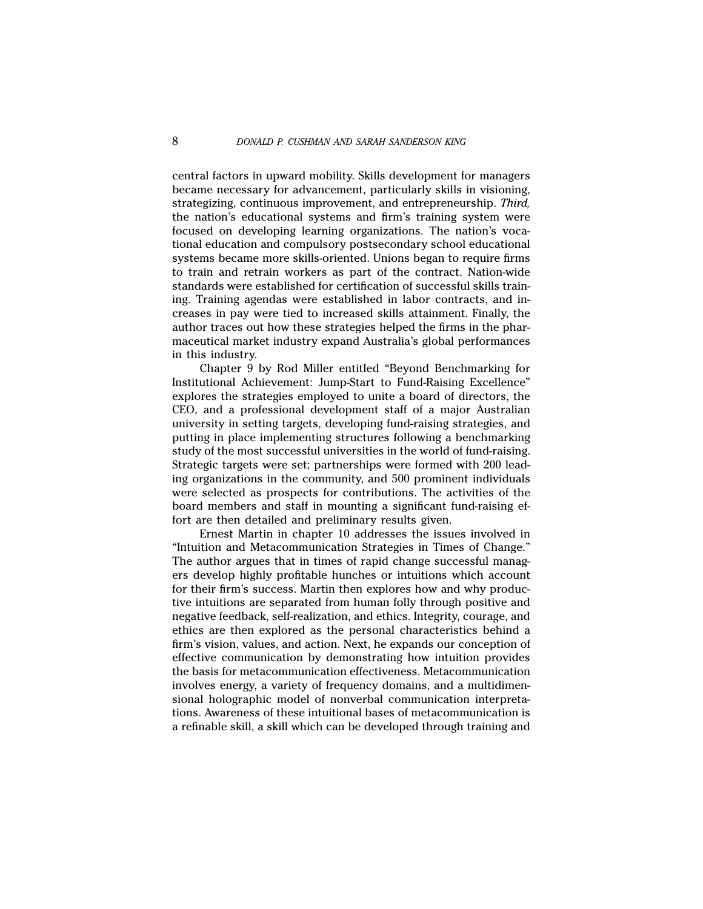central factors in upward mobility. Skills development for managers became necessary for advancement, particularly skills in visioning, strategizing, continuous improvement, and entrepreneurship. *Third,* the nation's educational systems and firm's training system were focused on developing learning organizations. The nation's vocational education and compulsory postsecondary school educational systems became more skills-oriented. Unions began to require firms to train and retrain workers as part of the contract. Nation-wide standards were established for certification of successful skills training. Training agendas were established in labor contracts, and increases in pay were tied to increased skills attainment. Finally, the author traces out how these strategies helped the firms in the pharmaceutical market industry expand Australia's global performances in this industry.

Chapter 9 by Rod Miller entitled "Beyond Benchmarking for Institutional Achievement: Jump-Start to Fund-Raising Excellence" explores the strategies employed to unite a board of directors, the CEO, and a professional development staff of a major Australian university in setting targets, developing fund-raising strategies, and putting in place implementing structures following a benchmarking study of the most successful universities in the world of fund-raising. Strategic targets were set; partnerships were formed with 200 leading organizations in the community, and 500 prominent individuals were selected as prospects for contributions. The activities of the board members and staff in mounting a significant fund-raising effort are then detailed and preliminary results given.

Ernest Martin in chapter 10 addresses the issues involved in "Intuition and Metacommunication Strategies in Times of Change." The author argues that in times of rapid change successful managers develop highly profitable hunches or intuitions which account for their firm's success. Martin then explores how and why productive intuitions are separated from human folly through positive and negative feedback, self-realization, and ethics. Integrity, courage, and ethics are then explored as the personal characteristics behind a firm's vision, values, and action. Next, he expands our conception of effective communication by demonstrating how intuition provides the basis for metacommunication effectiveness. Metacommunication involves energy, a variety of frequency domains, and a multidimensional holographic model of nonverbal communication interpretations. Awareness of these intuitional bases of metacommunication is a refinable skill, a skill which can be developed through training and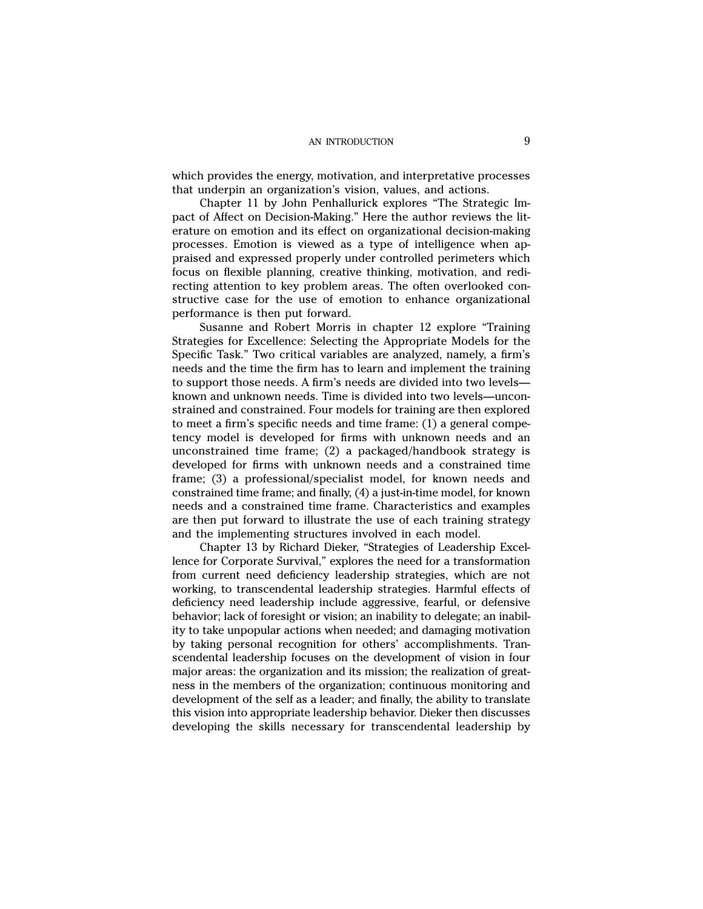which provides the energy, motivation, and interpretative processes that underpin an organization's vision, values, and actions.

Chapter 11 by John Penhallurick explores "The Strategic Impact of Affect on Decision-Making." Here the author reviews the literature on emotion and its effect on organizational decision-making processes. Emotion is viewed as a type of intelligence when appraised and expressed properly under controlled perimeters which focus on flexible planning, creative thinking, motivation, and redirecting attention to key problem areas. The often overlooked constructive case for the use of emotion to enhance organizational performance is then put forward.

Susanne and Robert Morris in chapter 12 explore "Training Strategies for Excellence: Selecting the Appropriate Models for the Specific Task." Two critical variables are analyzed, namely, a firm's needs and the time the firm has to learn and implement the training to support those needs. A firm's needs are divided into two levels known and unknown needs. Time is divided into two levels—unconstrained and constrained. Four models for training are then explored to meet a firm's specific needs and time frame: (1) a general competency model is developed for firms with unknown needs and an unconstrained time frame; (2) a packaged/handbook strategy is developed for firms with unknown needs and a constrained time frame; (3) a professional/specialist model, for known needs and constrained time frame; and finally, (4) a just-in-time model, for known needs and a constrained time frame. Characteristics and examples are then put forward to illustrate the use of each training strategy and the implementing structures involved in each model.

Chapter 13 by Richard Dieker, "Strategies of Leadership Excellence for Corporate Survival," explores the need for a transformation from current need deficiency leadership strategies, which are not working, to transcendental leadership strategies. Harmful effects of deficiency need leadership include aggressive, fearful, or defensive behavior; lack of foresight or vision; an inability to delegate; an inability to take unpopular actions when needed; and damaging motivation by taking personal recognition for others' accomplishments. Transcendental leadership focuses on the development of vision in four major areas: the organization and its mission; the realization of greatness in the members of the organization; continuous monitoring and development of the self as a leader; and finally, the ability to translate this vision into appropriate leadership behavior. Dieker then discusses developing the skills necessary for transcendental leadership by